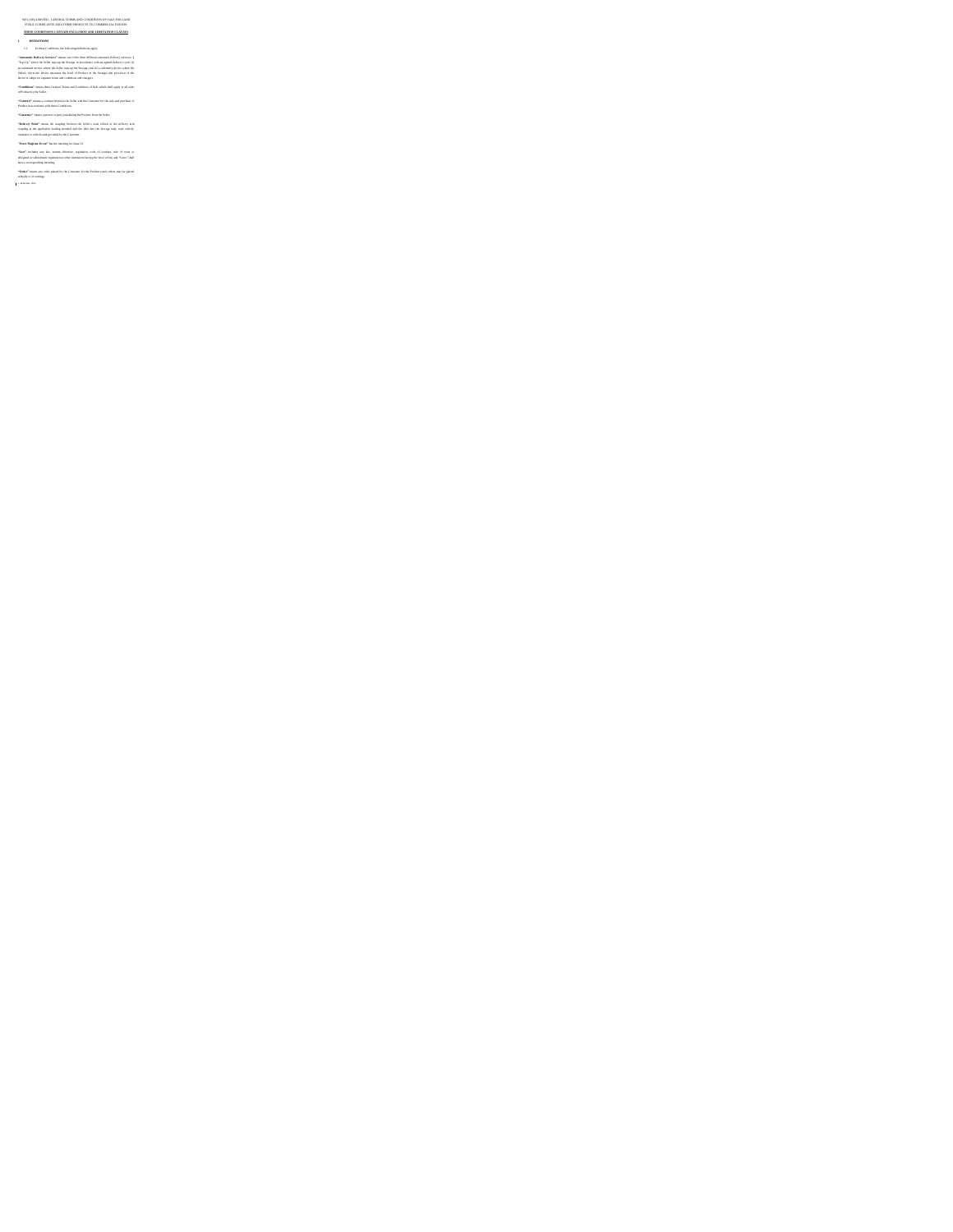# We have also the state of the control of the state of the state of the state of the state of the state of the state of the state of the state of the state of the state of the state of the state of the state of the state o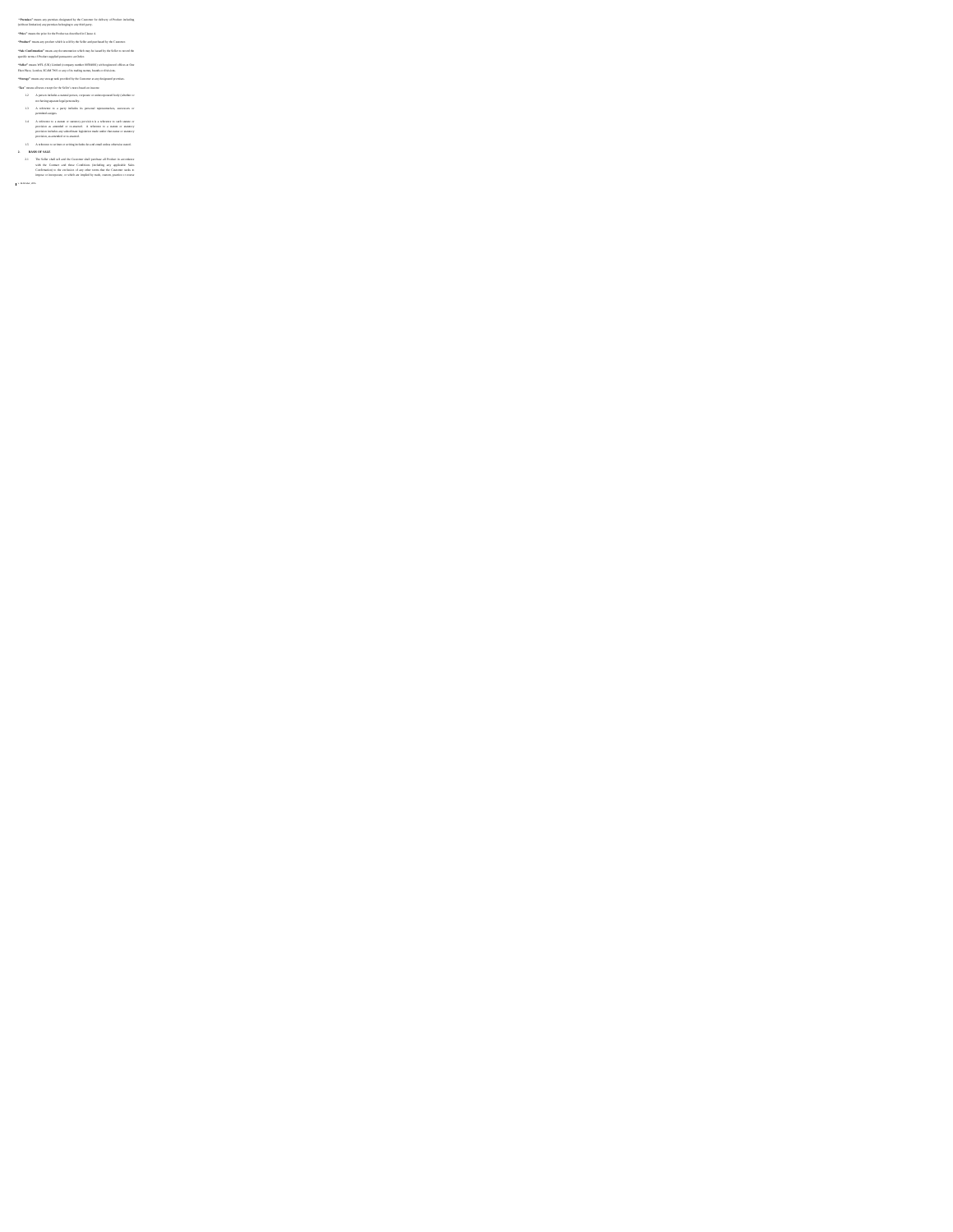# Translate mass our process designed in the Constant de Adrian of Process the<br>above and the constant of the constant of the constant of the constant<br> $\eta$  and the constant of the constant of the constant of the constant<br> $\eta$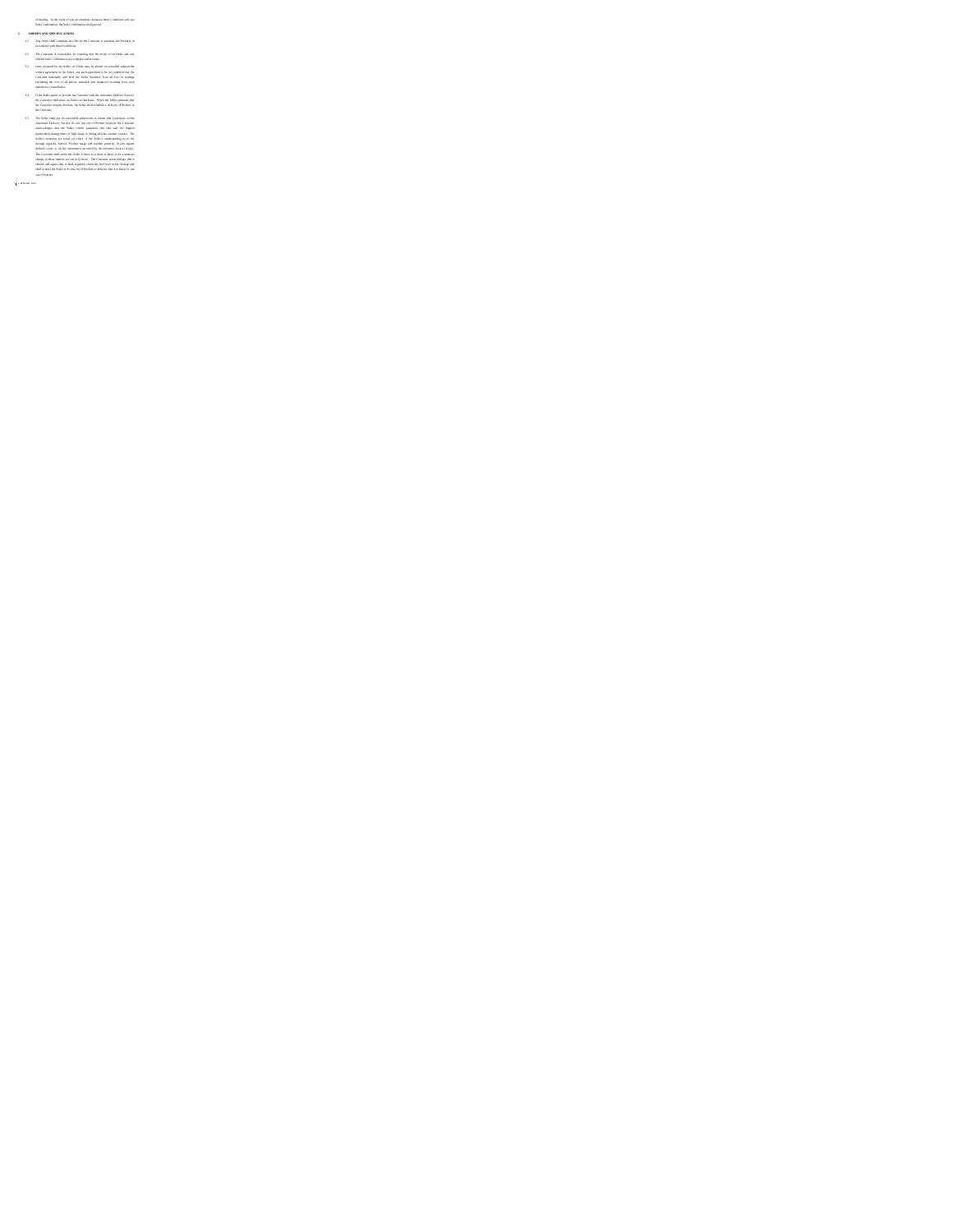- of shalled in the consistent parameter is the constant of the constant of the constant of the constant of the constant of the constant of the constant of the constant of the constant of the constant of the constant of the
- 
- 
- 
- 
- 
-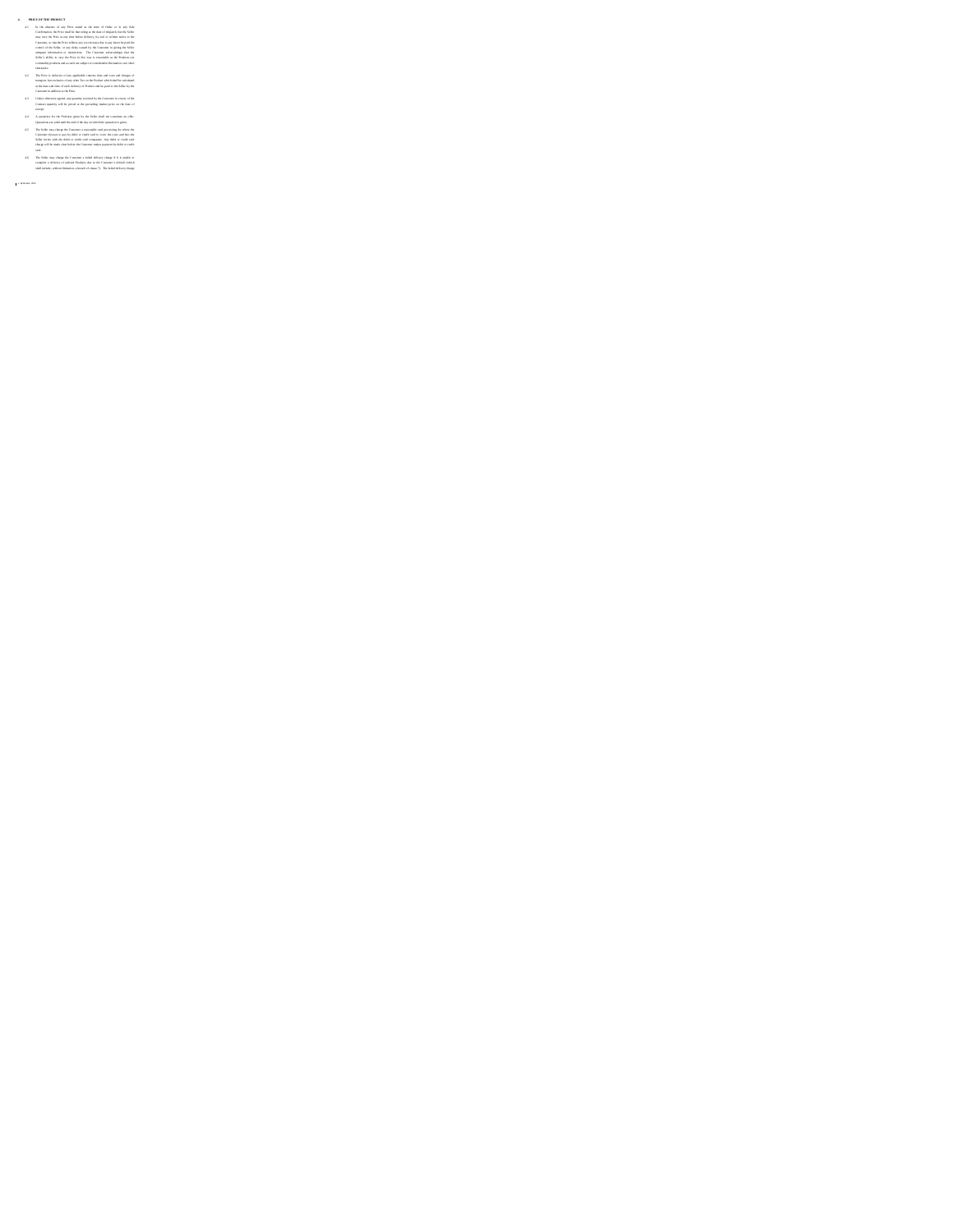- A PRODUCT MOREOVECT (where the state of the first data of the state of the state of the state of the state of the state of the state of the state of the state of the state of the state of the state of the state of the sta
- 
- 
- 
-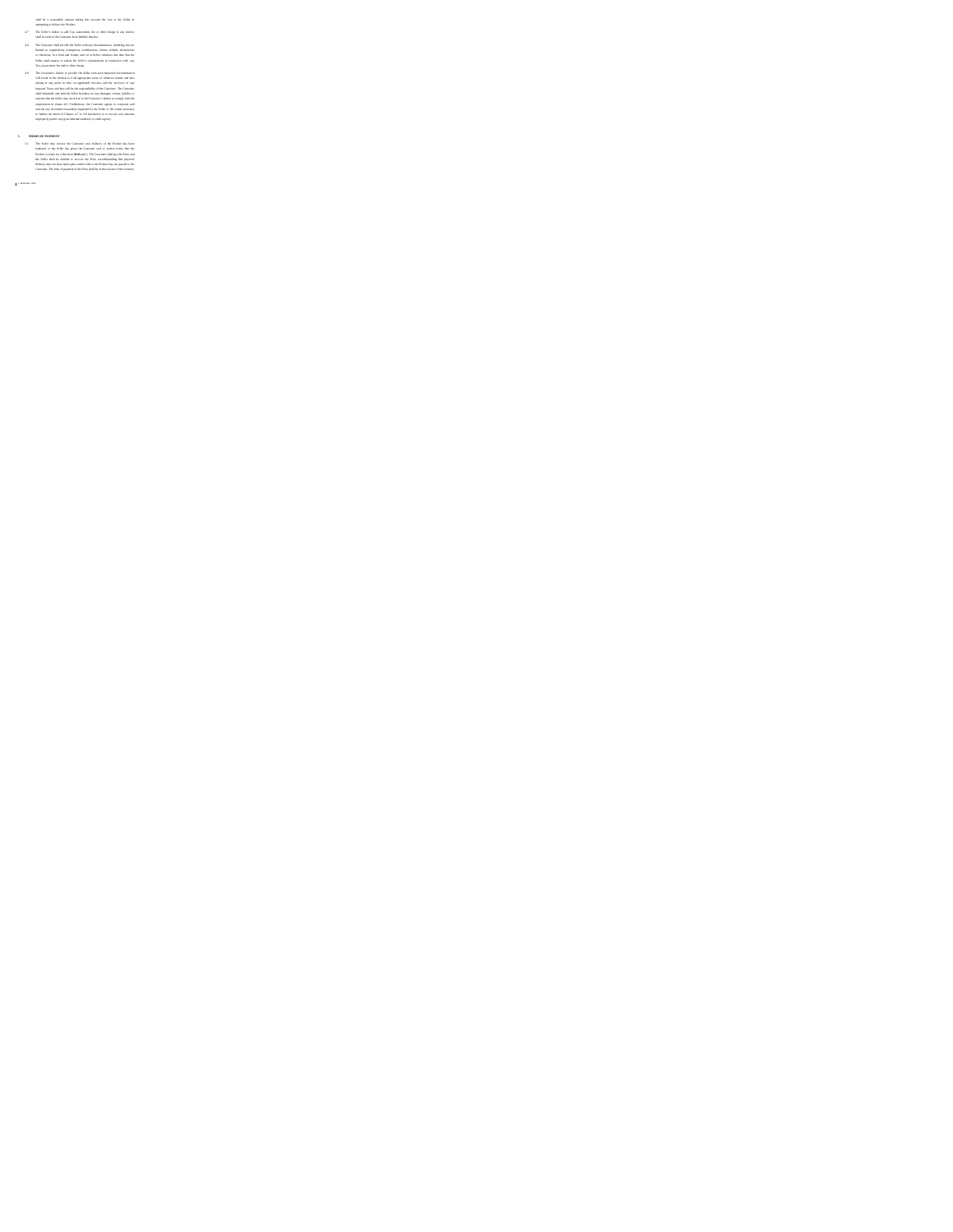- 
- and the a manual domain this increase the control of the first state of the later to the state of the state of the state of the state of the state of the state of the state of the state of the state of the state of the st

5. TERMS OF PAINMENT and consider the Commuter mass delivery of the Product has been uniformly to the Decket in the pairs the Content cast or within and/or to the Decket in the Product in the Decket in the Content cast of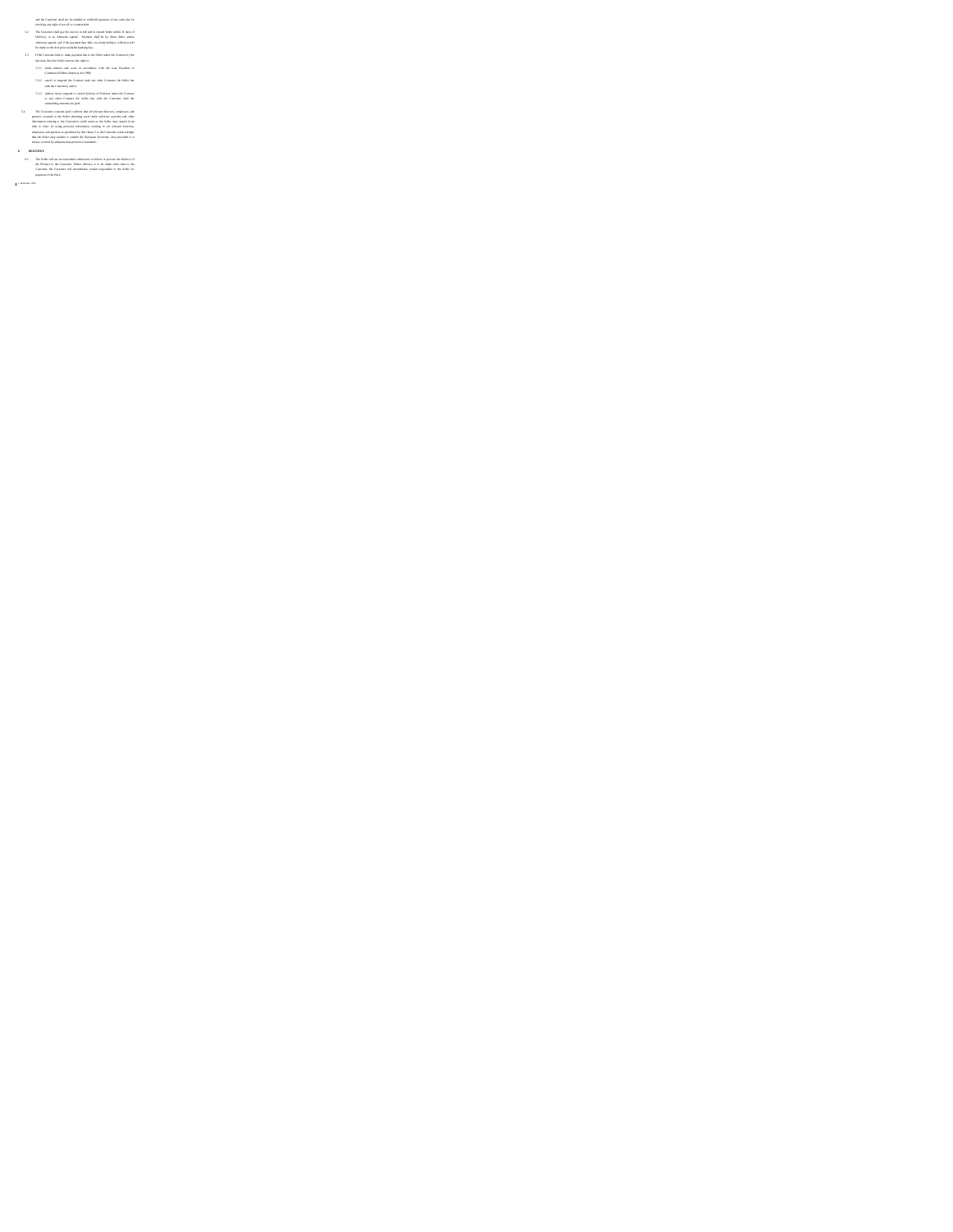and the Contract that are the matrix that is close to the Contract theorem is a state of the Contract theorem in the contract the contract that is a state of the contract the contract the contract the contract the contrac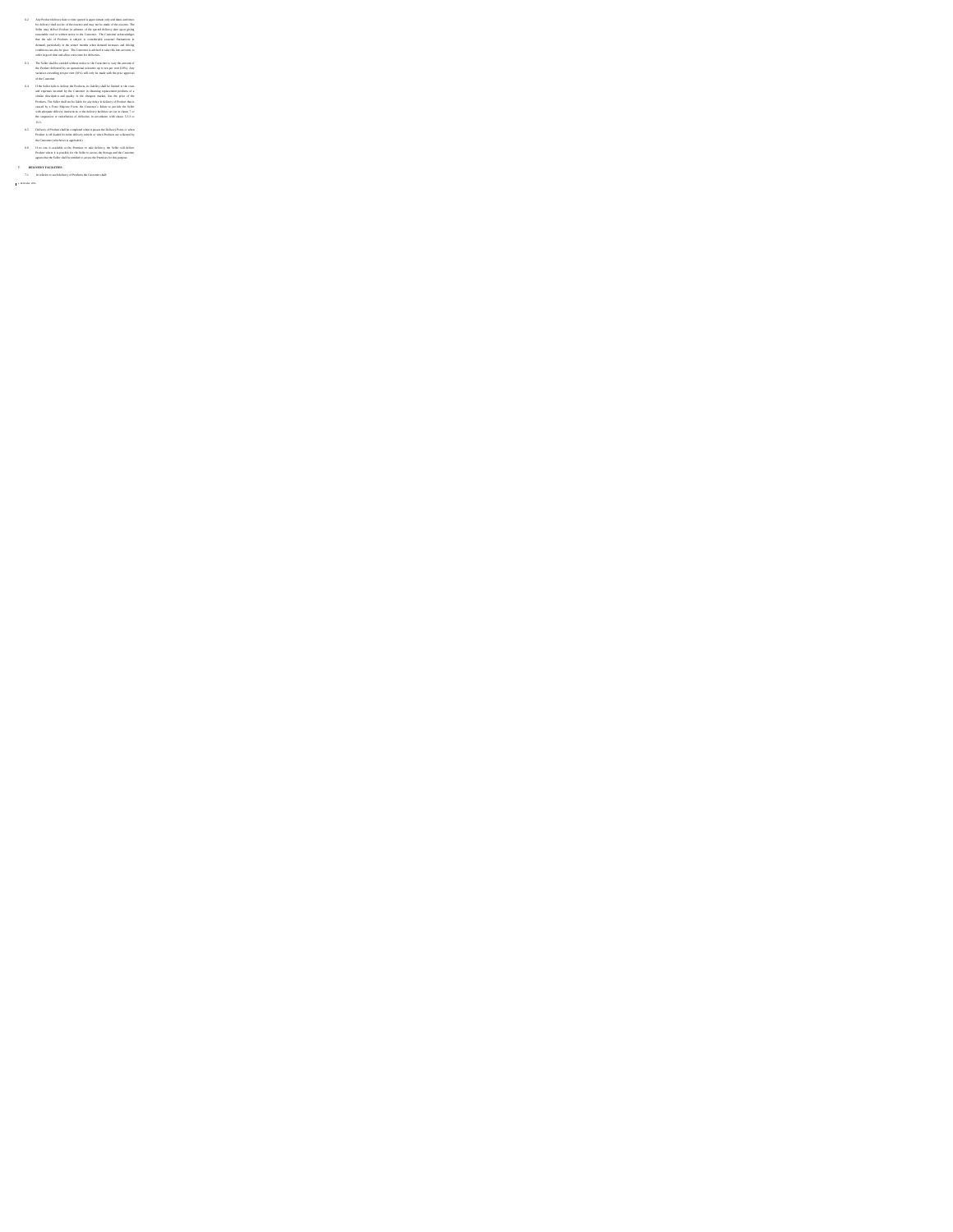$\label{eq:2}$  <br> Also may also the state in the spectra state with the state in the state in the state in the state of the<br>state in the state in the state of the spectra state in the state in<br>the state in the state in the stat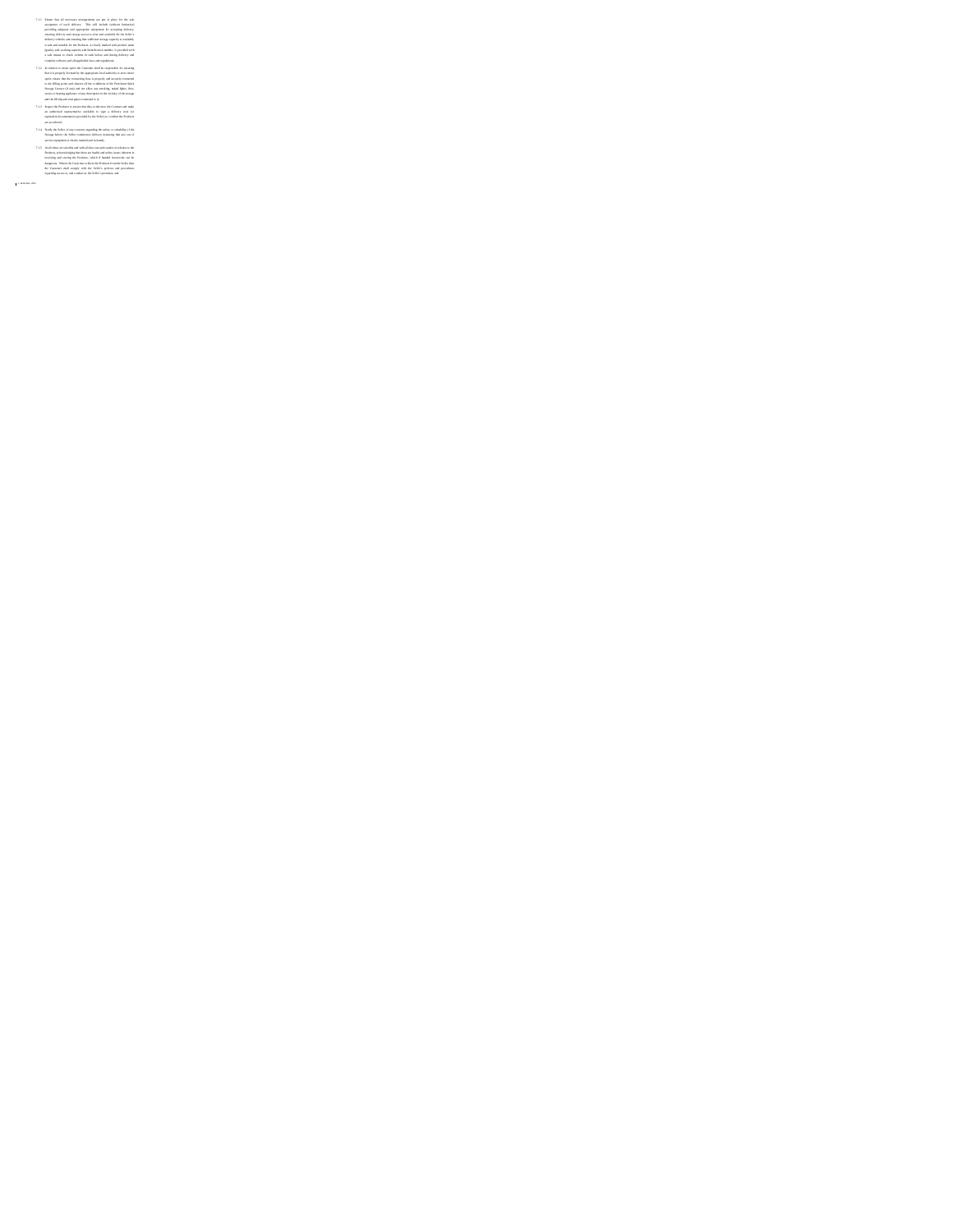- The model and are also the state of the state of the state of the state of the state of the state of the state of the state of the state of the state of the state of the state of the state of the state of the state of the
- 
-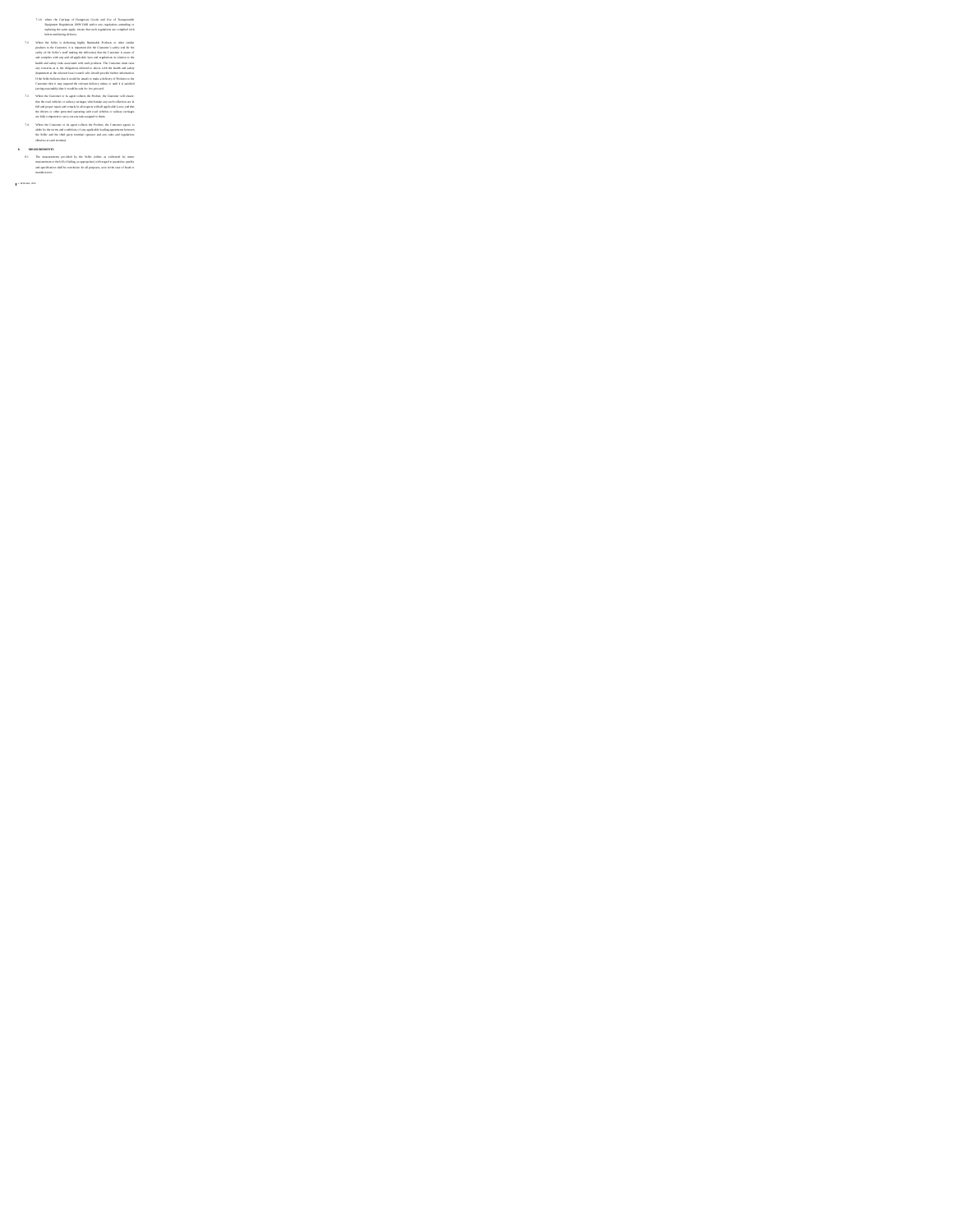This also the transportant that the state of the state of the state of the state of the state of the state of the state of the state of the state of the state of the state of the state of the state of the state of the sta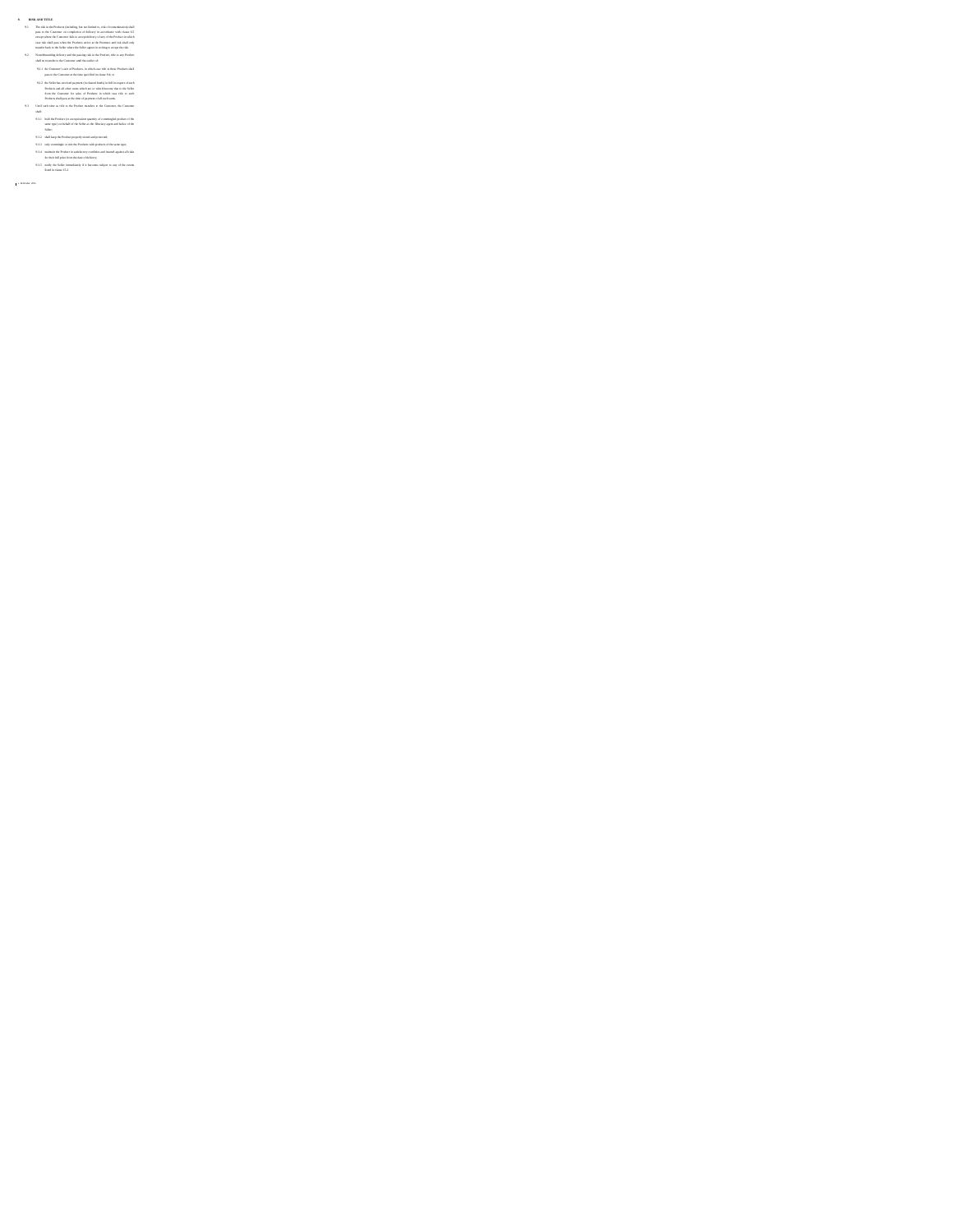We also the final state in the final state of the contrast of the contrast of the state of the contrast of the contrast of the contrast of the contrast of the contrast of the contrast of the contrast of the contrast of th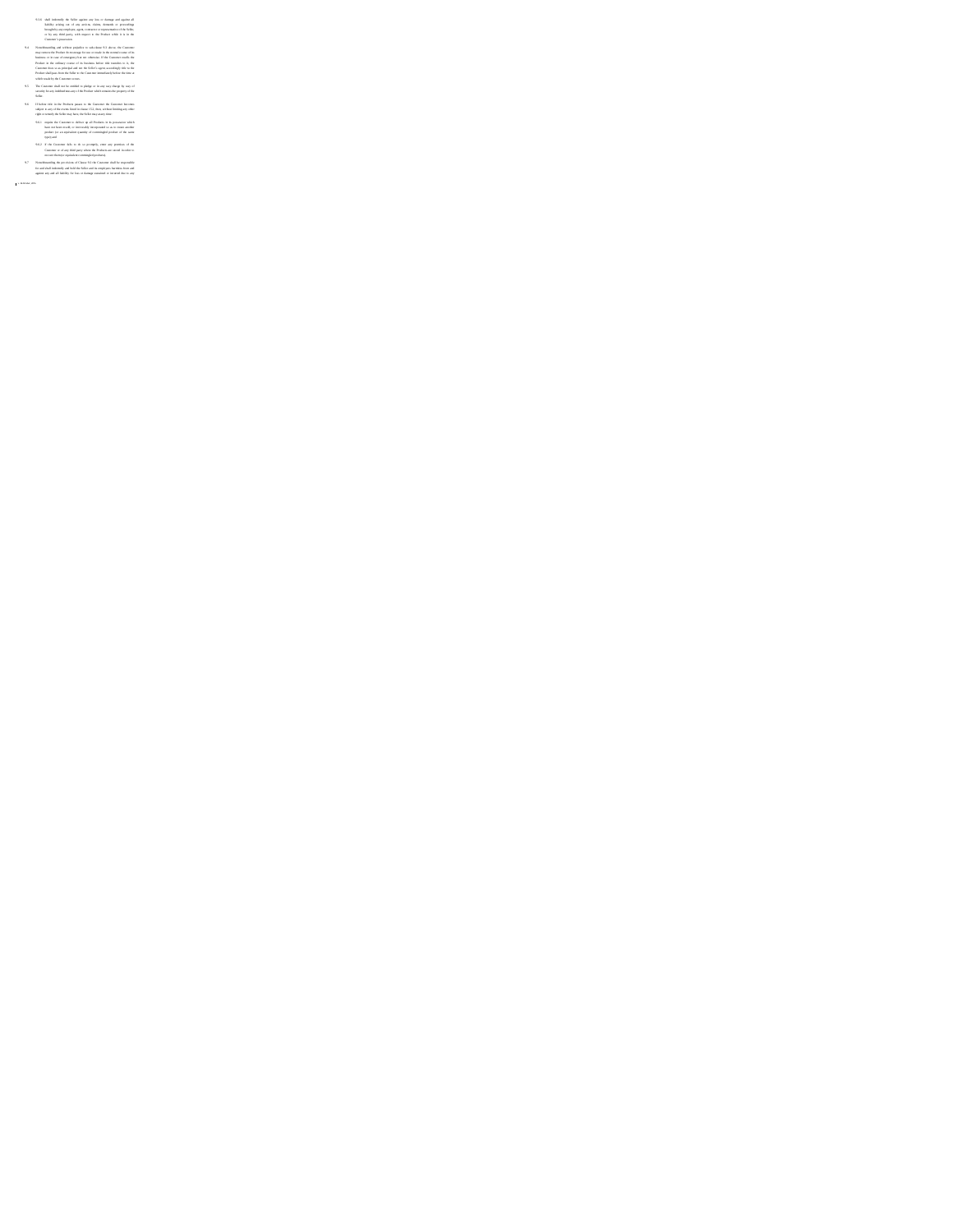9.3.6 shall indemnify the Seller against any loss or damage and against all liability arising out of any actions, claims, demands or proceedings brought by any employee, agent, contractor or representative of the Seller, or by any third party, with respect to the Product while it is in the Customer's possession. 9.4 Notwithstanding and without prejudice to sub-clause 9.3 above, the Customer may remove the Product from storage for use or resale in the normal course of its business or in case of emergency but not otherwise. If the Customer resells the Product in the ordinary course of its business before title transfers to it, the Customer does so as principal and not the Seller's agent, accordingly title to the Product shall pass from the Seller to the Customer immediately before the time at which resale by the Customer occurs. 9.5 The Customer shall not be entitled to pledge or in any way charge by way of security for any indebtedness any of the Product which remains the property of the Seller. 9.6 If before title in the Products passes to the Customer the Customer becomes subject to any of the events listed in clause 15.2, then, without limiting any other right or remedy the Seller may have, the Seller may at any time: 9.6.1 require the Customer to deliver up all Products in its possession which have not been resold, or irrevocably incorporated so as to create another product (or an equivalent quantity of commingled product of the same type); and 9.6.2 if the Customer fails to do so promptly, enter any premises of the Customer or of any third party where the Products are stored in order to recover them (or equivalent commingled products). 9.7 Notwithstanding the provisions of Clause 9.2 the Customer shall be responsible for and shall indemnify and hold the Seller and its employees harmless from and against any and all liability for loss or damage sustained or incurred due to any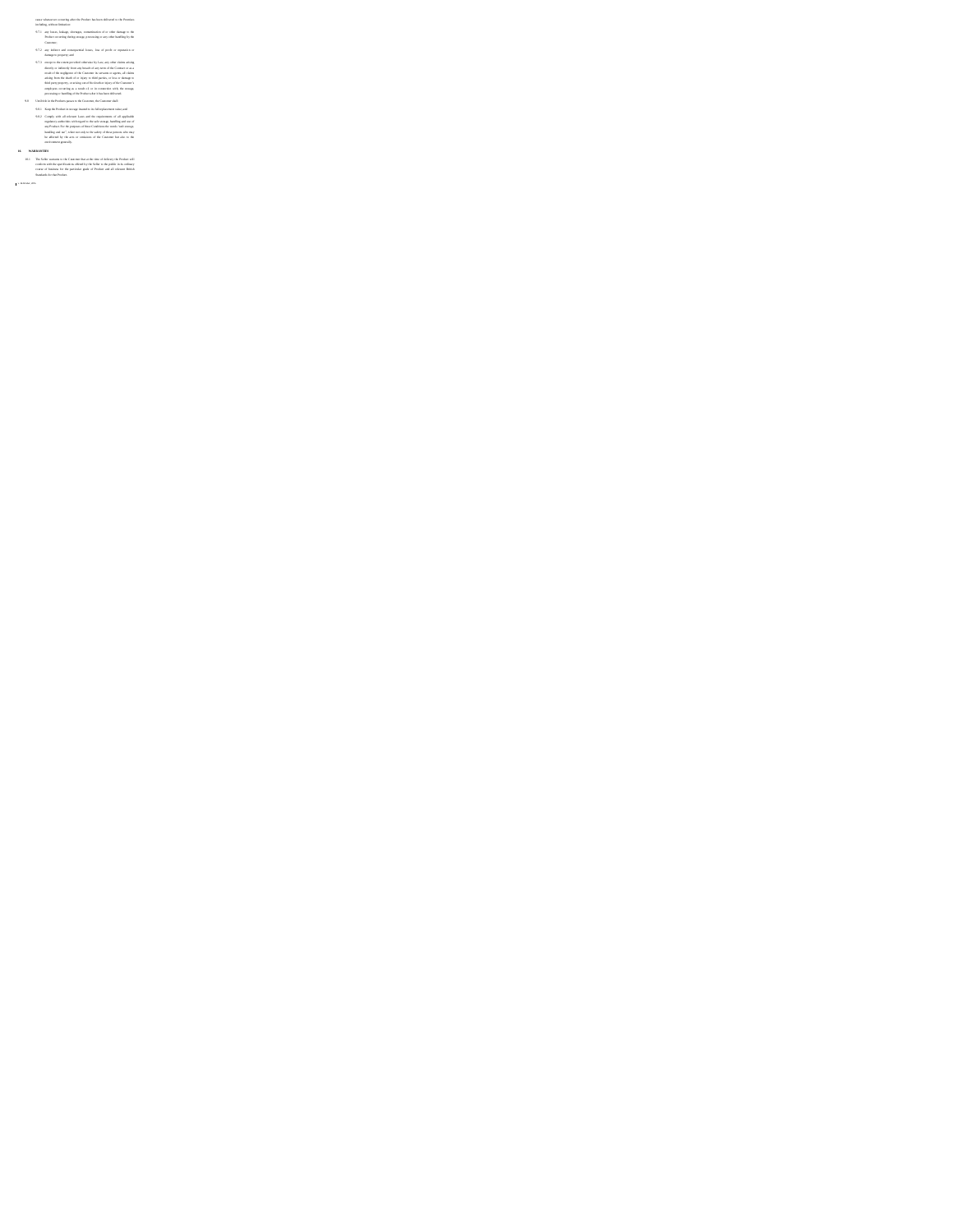and the formula consistent and the finder bound of the final consistent and the distribution of the final consistent and the constraints of the constraints of the constraints of the constraints of the constraints of the c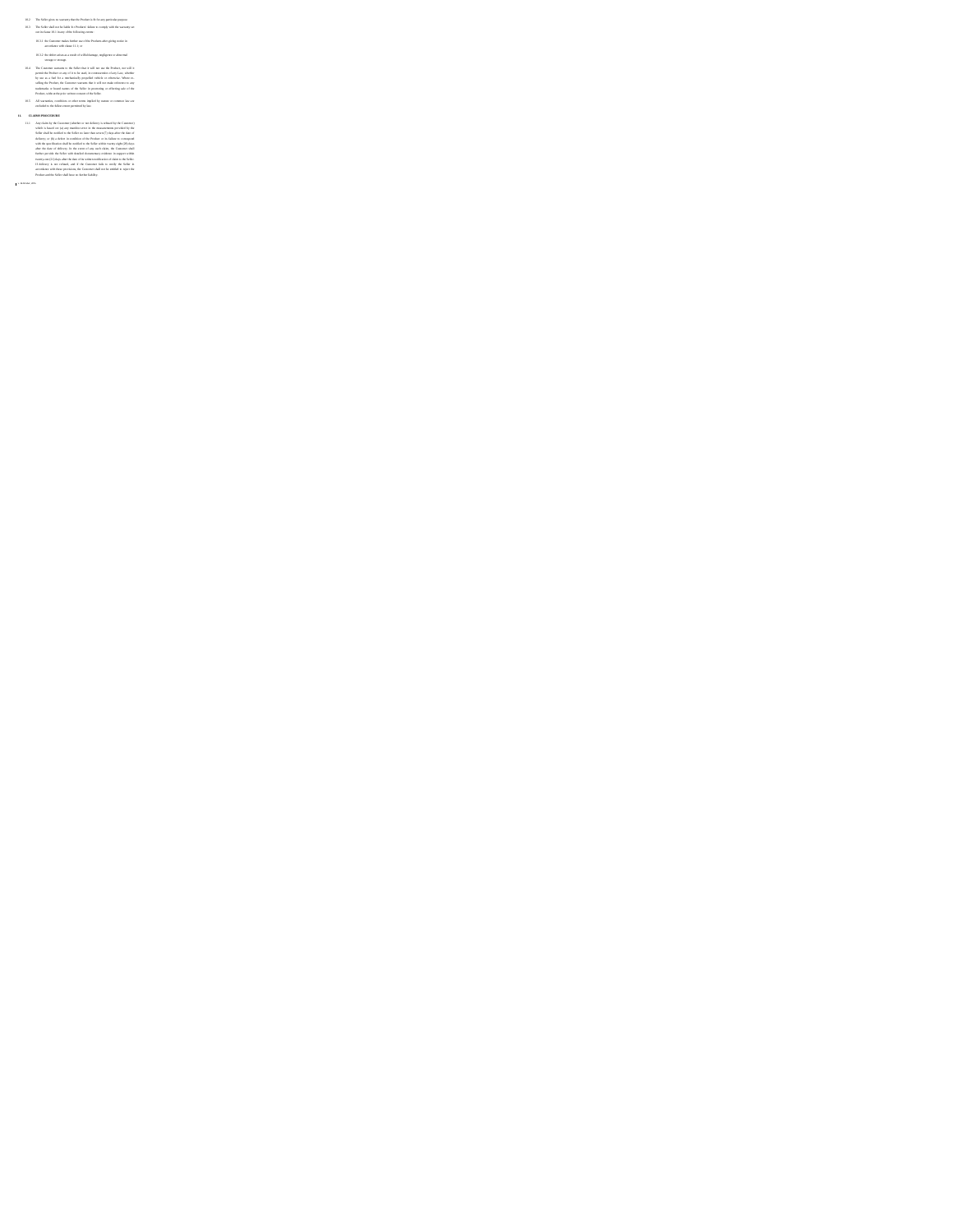- 
- 
- 
- 

10 The line given to oscillate the following term of the state of the state of the state of the state of the state of the state of the state of the state of the state of the state of the state of the state of the state of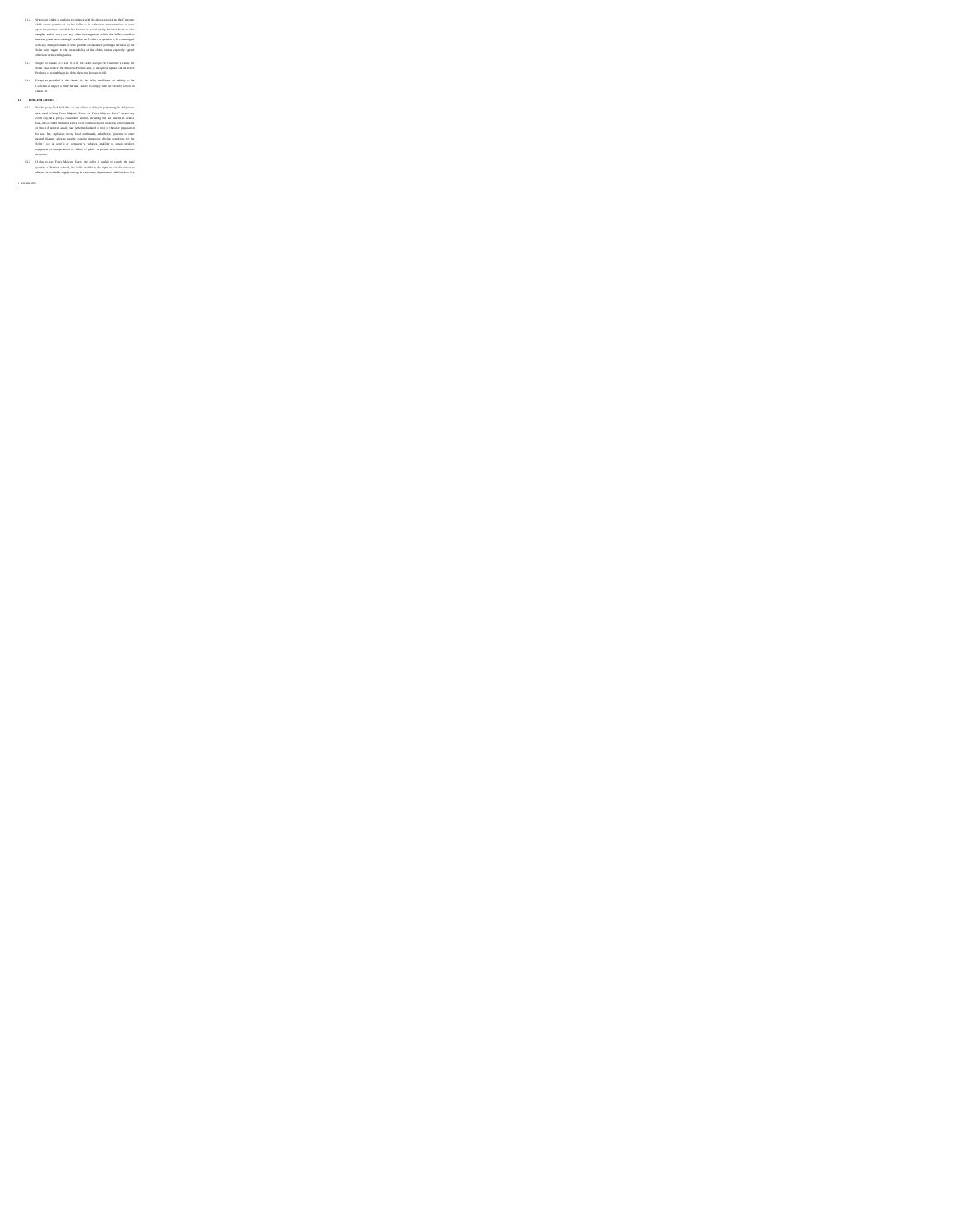- 
- 
- 
- 
- 13. We are the following in the following term in the following term in the control of the following term in the following term in the following term in the following term in the following term in the following term in th
- 
-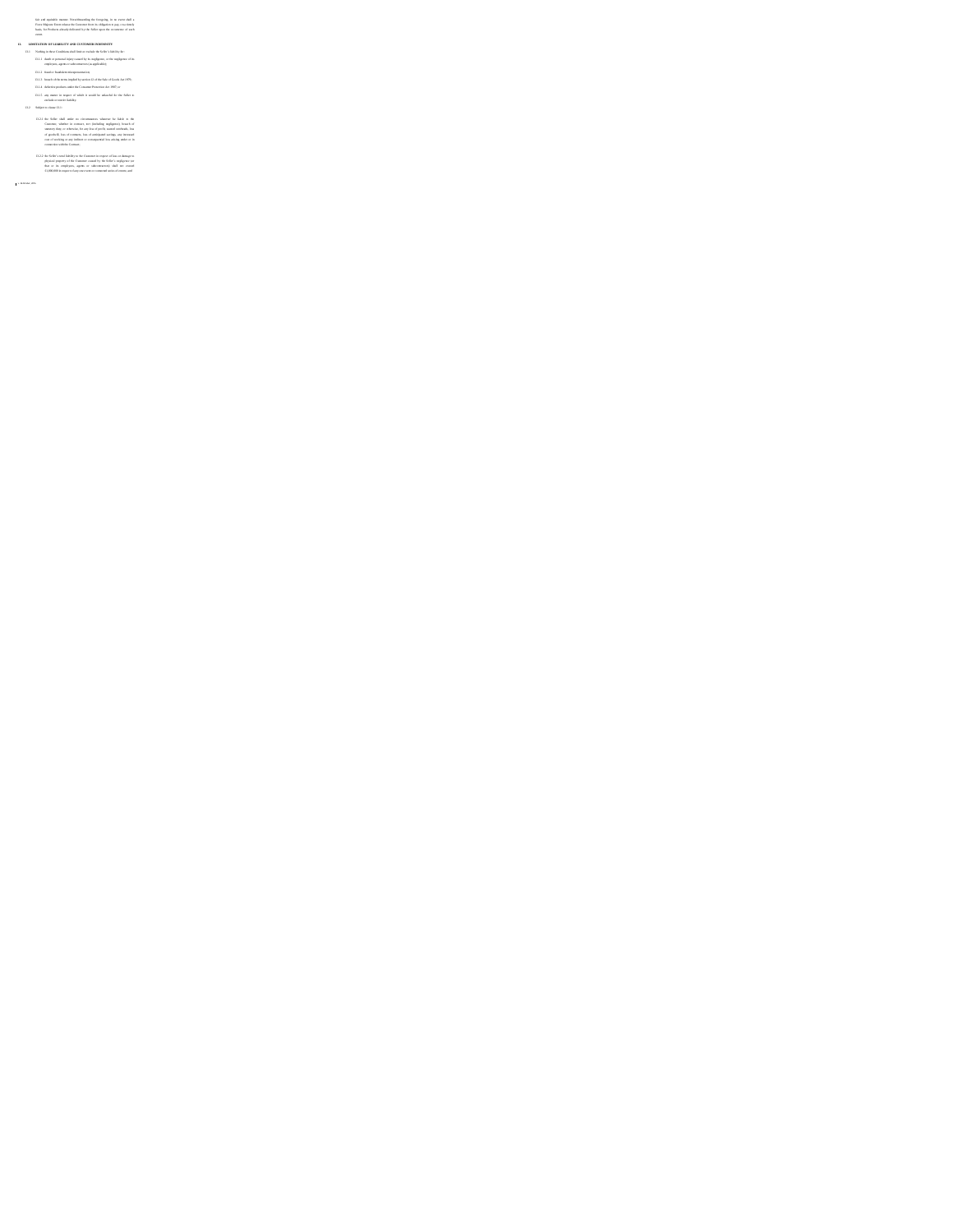the angular mass bounded and the statements of the statement of the basis, in the projection and the statement of the basis, in the basis of the basis of the basis of the basis of the basis of the basis of the basis of th

13.2.1 the Solite shall under no circumstances whatever be faiths to the Commons, whether in contacts, not checkeday angligence), because of matterials, loss of gradually interview of production of gradually loss of conta

13.2.2 the Solito's total liability to the Contouser in respect of loss or damage to<br>physical property of the Contonue caused by the Solito's negligence (or<br>that our line employees, agent, or subcontractery oldil net sweez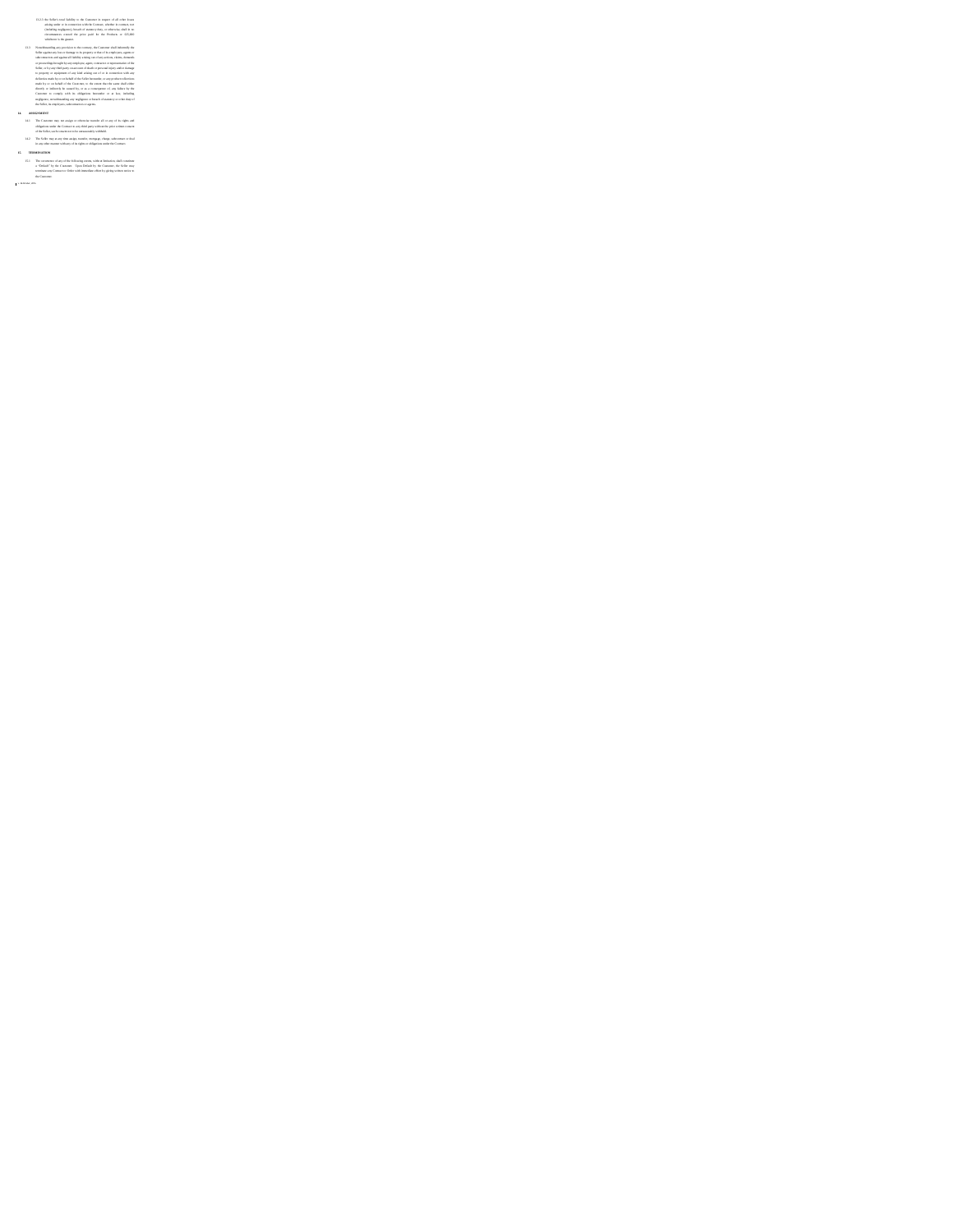# 113. In definite the interaction of the state of the state of the state of the state of the state of the state of the state of the state of the state of the state of the state of the state of the state of the state of the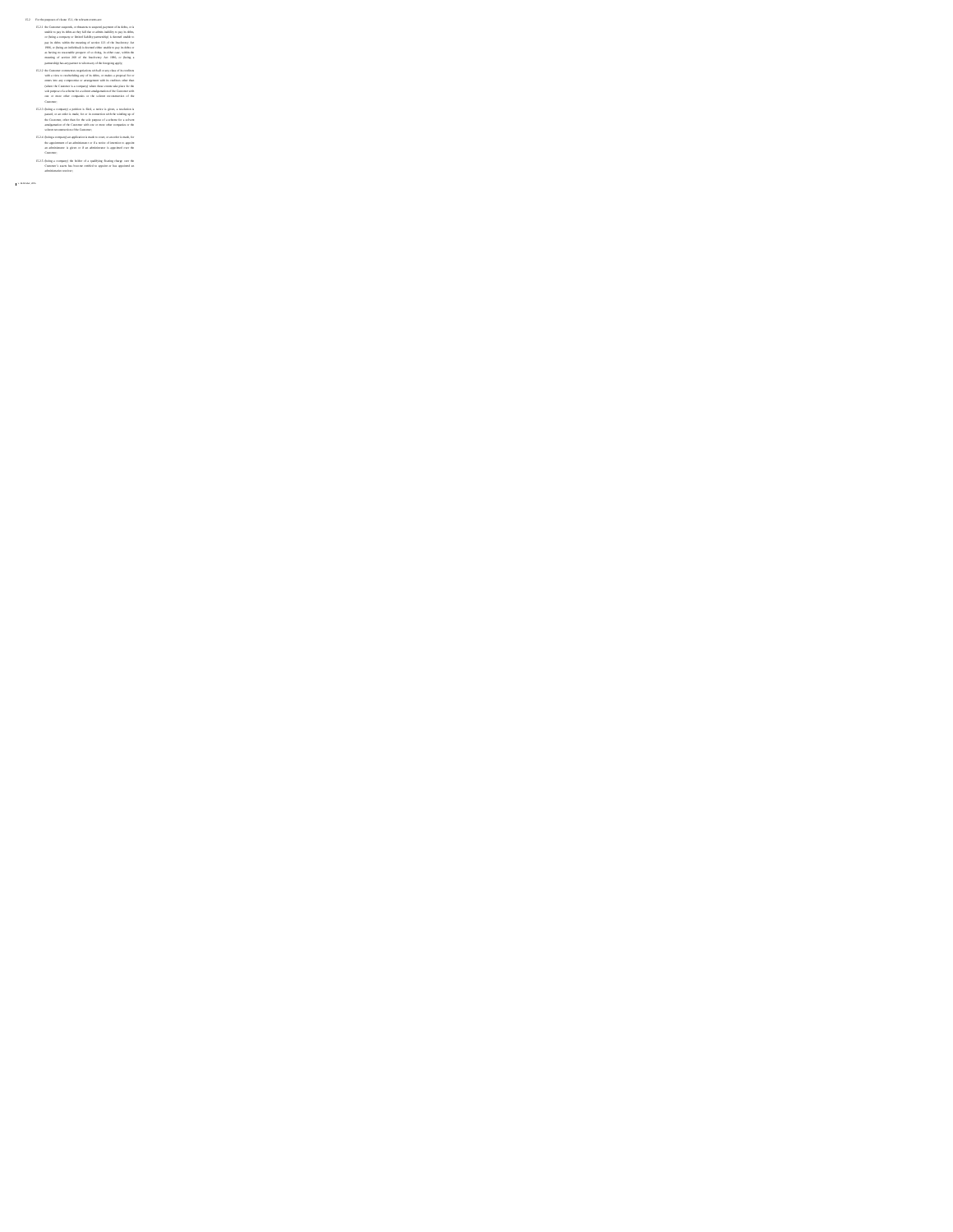v. 26 October, 2016 The theorem control and the control and the control and the control and the control and the control and the control and the control and the control and the control and the control and the control and the control and the c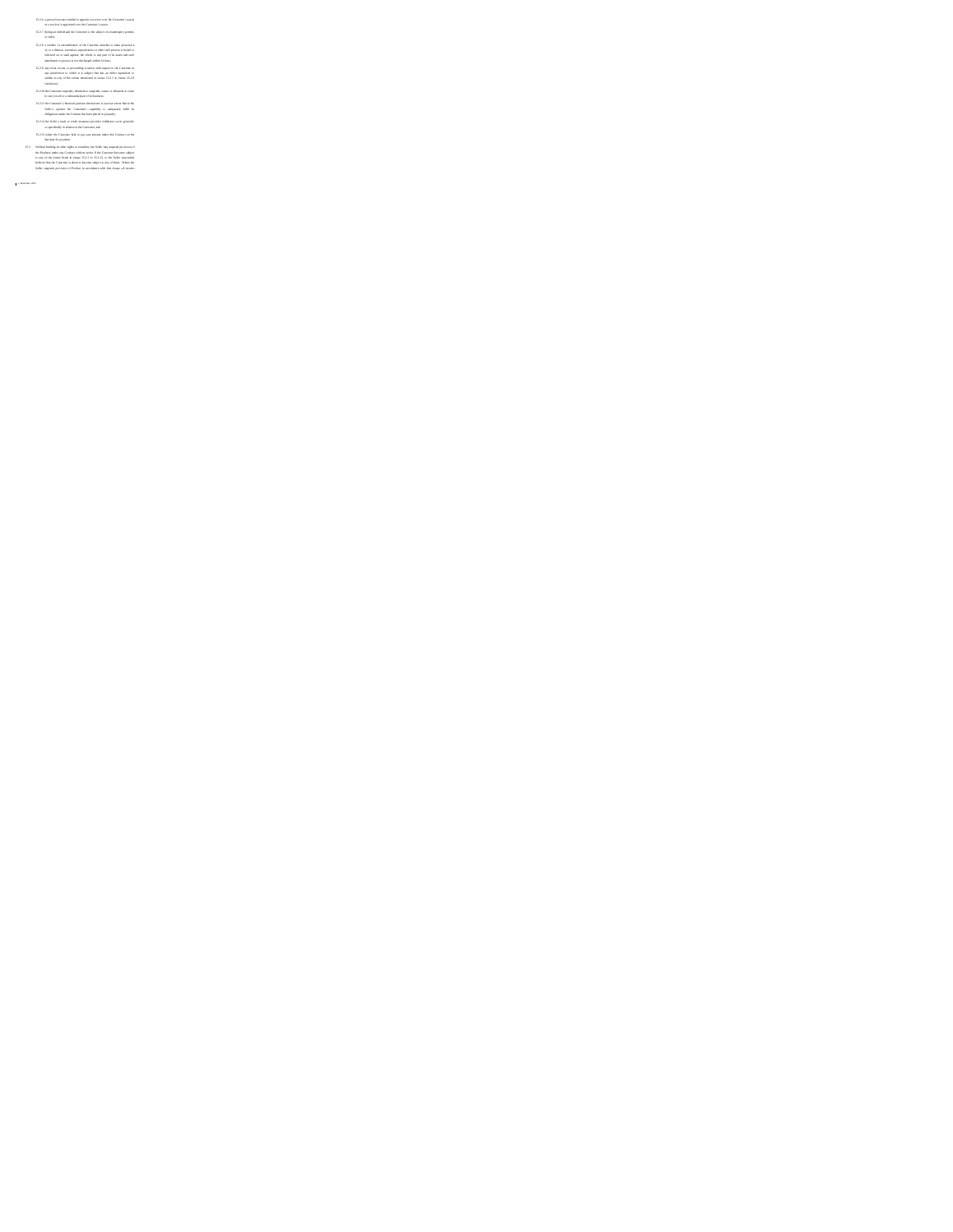15.2.6 a person becomes entitled to appoint a receiver over the Customer's assets or a receiver is appointed over the Customer's assets; 15.2.7 (being an individual) the Customer is the subject of a bankruptcy petition or order; 15.2.8 a creditor or encumbrancer of the Customer attaches or takes possession of, or a distress, execution, sequestration or other such process is levied or enforced on or sued against, the whole or any part of its assets and such attachment or process is not discharged within 14 days; 15.2.9 any event occurs, or proceeding is taken, with respect to the Customer in any jurisdiction to which it is subject that has an effect equivalent or similar to any of the events mentioned in clause 15.2.1 to clause 15.2.8 (inclusive); 15.2.10 the Customer suspends, threatens to suspends, ceases or threatens to cease to carry on all or a substantial part of its business; 15.2.11 the Customer's financial position deteriorates to such an extent that in the Seller's opinion the Customer's capability to adequately fulfil its obligations under the Contract has been placed in jeopardy; 15.2.12 the Seller's trade or credit insurance provider withdraws cover generally or specifically in relation to the Customer; and 15.2.13 where the Customer fails to pay any amount under this Contract on the due date for payment 15.3 Without limiting its other rights or remedies, the Seller may suspend provision of the Products under any Contract without notice if the Customer becomes subject to any of the events listed in clause 15.2.1 to 15.2.13, or the Seller reasonably believes that the Customer is about to become subject to any of them. Where the Seller suspends provision of Product in accordance with this clause, all monies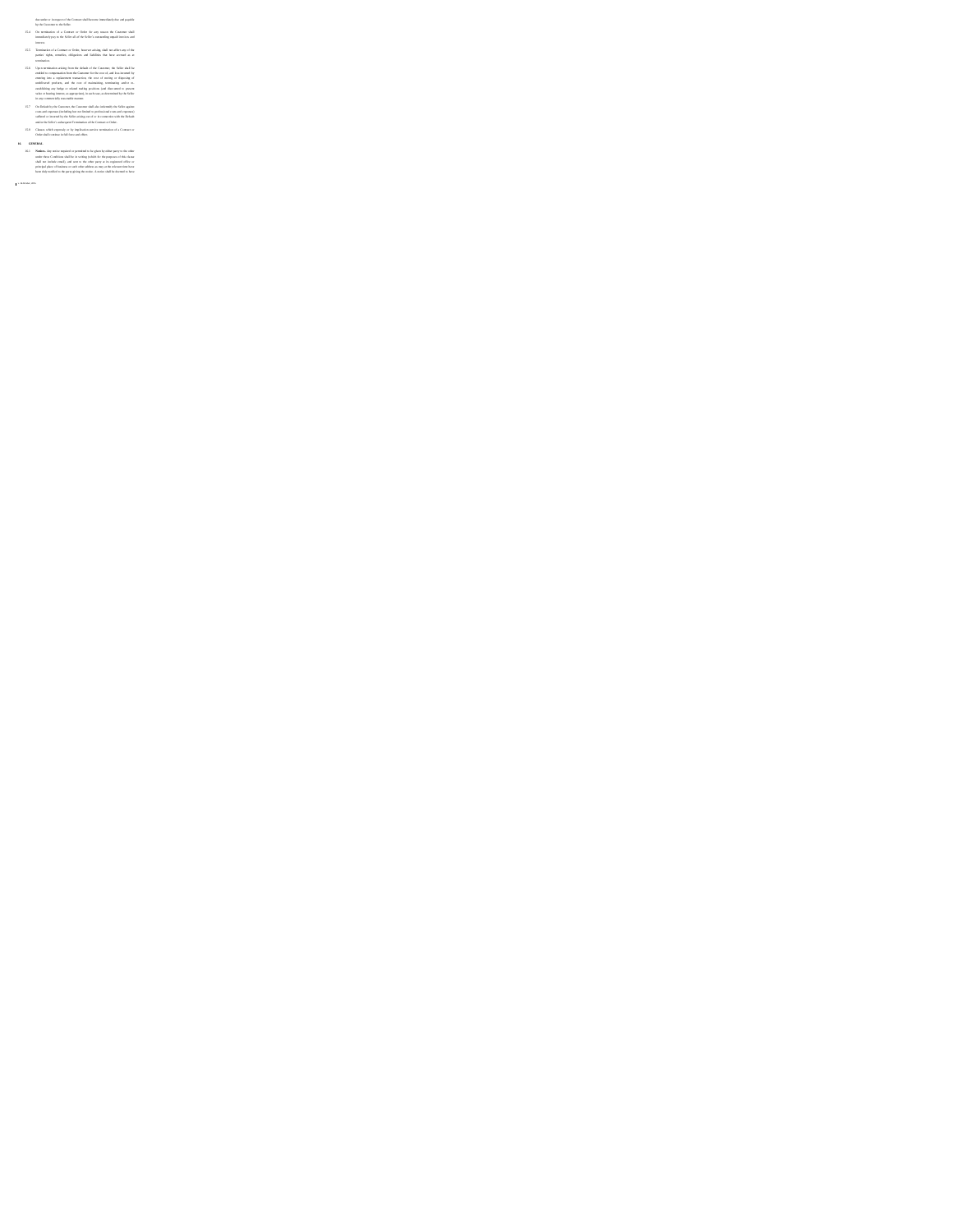- the material and the control of the control of the state of the control of the control of the control of the control of the control of the control of the control of the control of the control of the control of the control
- 
- 
- 
-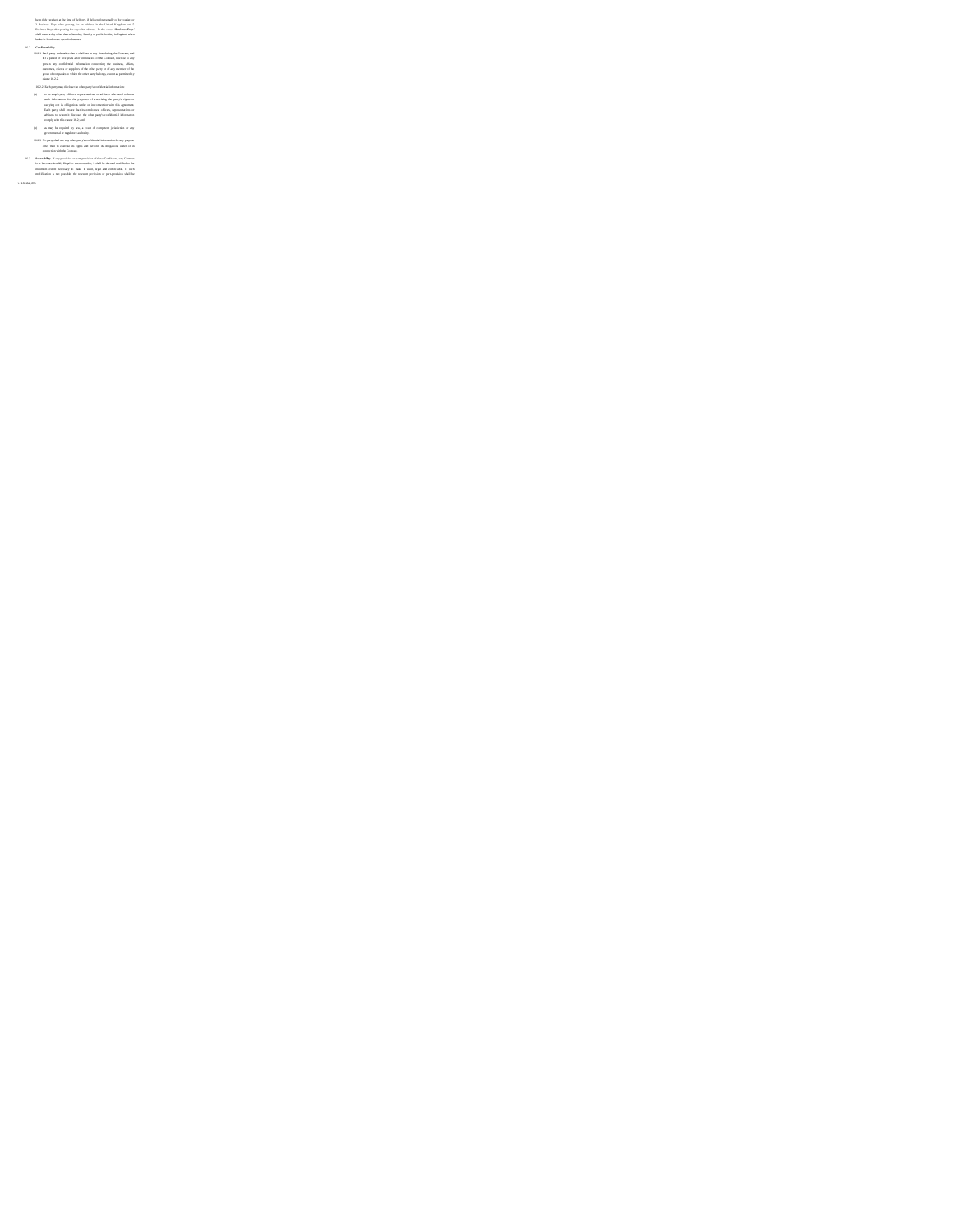- 
- 
- is a bandom and a determined the state of the state of the state of the state of the state of the state of the state of the state of the state of the state of the state of the state of the state of the state of the state
- 
- 
-